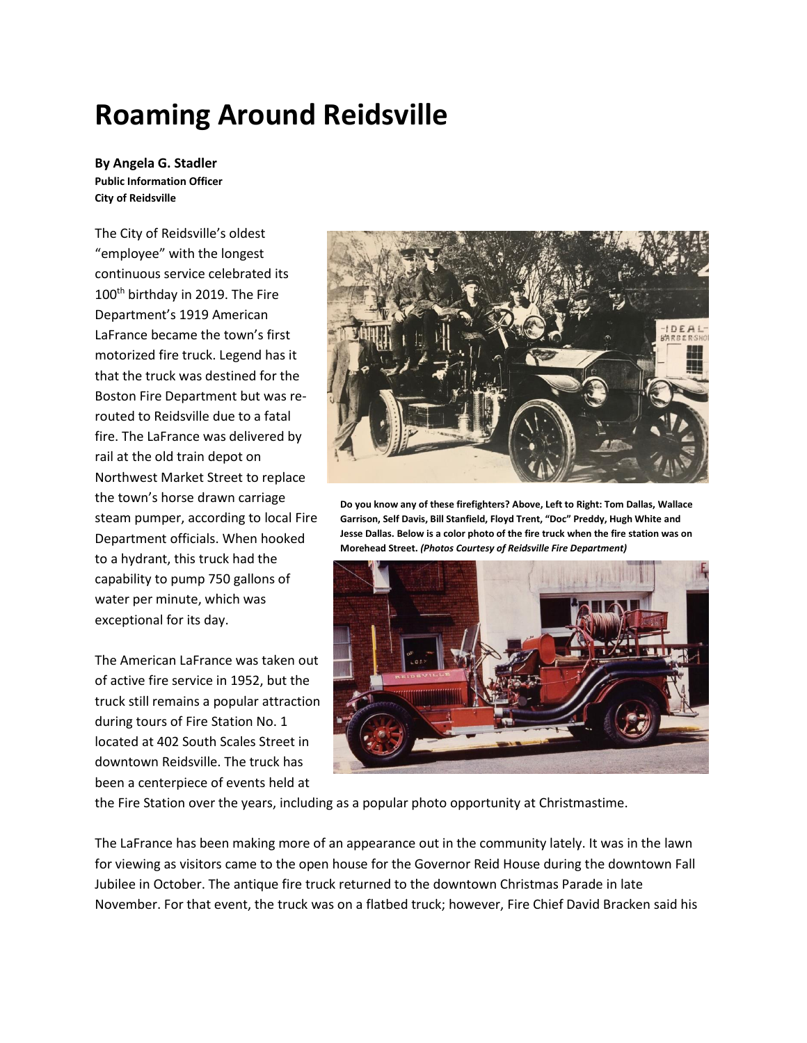## **Roaming Around Reidsville**

**By Angela G. Stadler Public Information Officer City of Reidsville**

The City of Reidsville's oldest "employee" with the longest continuous service celebrated its 100<sup>th</sup> birthday in 2019. The Fire Department's 1919 American LaFrance became the town's first motorized fire truck. Legend has it that the truck was destined for the Boston Fire Department but was rerouted to Reidsville due to a fatal fire. The LaFrance was delivered by rail at the old train depot on Northwest Market Street to replace the town's horse drawn carriage steam pumper, according to local Fire Department officials. When hooked to a hydrant, this truck had the capability to pump 750 gallons of water per minute, which was exceptional for its day.

The American LaFrance was taken out of active fire service in 1952, but the truck still remains a popular attraction during tours of Fire Station No. 1 located at 402 South Scales Street in downtown Reidsville. The truck has been a centerpiece of events held at



**Do you know any of these firefighters? Above, Left to Right: Tom Dallas, Wallace Garrison, Self Davis, Bill Stanfield, Floyd Trent, "Doc" Preddy, Hugh White and Jesse Dallas. Below is a color photo of the fire truck when the fire station was on Morehead Street.** *(Photos Courtesy of Reidsville Fire Department)*



the Fire Station over the years, including as a popular photo opportunity at Christmastime.

The LaFrance has been making more of an appearance out in the community lately. It was in the lawn for viewing as visitors came to the open house for the Governor Reid House during the downtown Fall Jubilee in October. The antique fire truck returned to the downtown Christmas Parade in late November. For that event, the truck was on a flatbed truck; however, Fire Chief David Bracken said his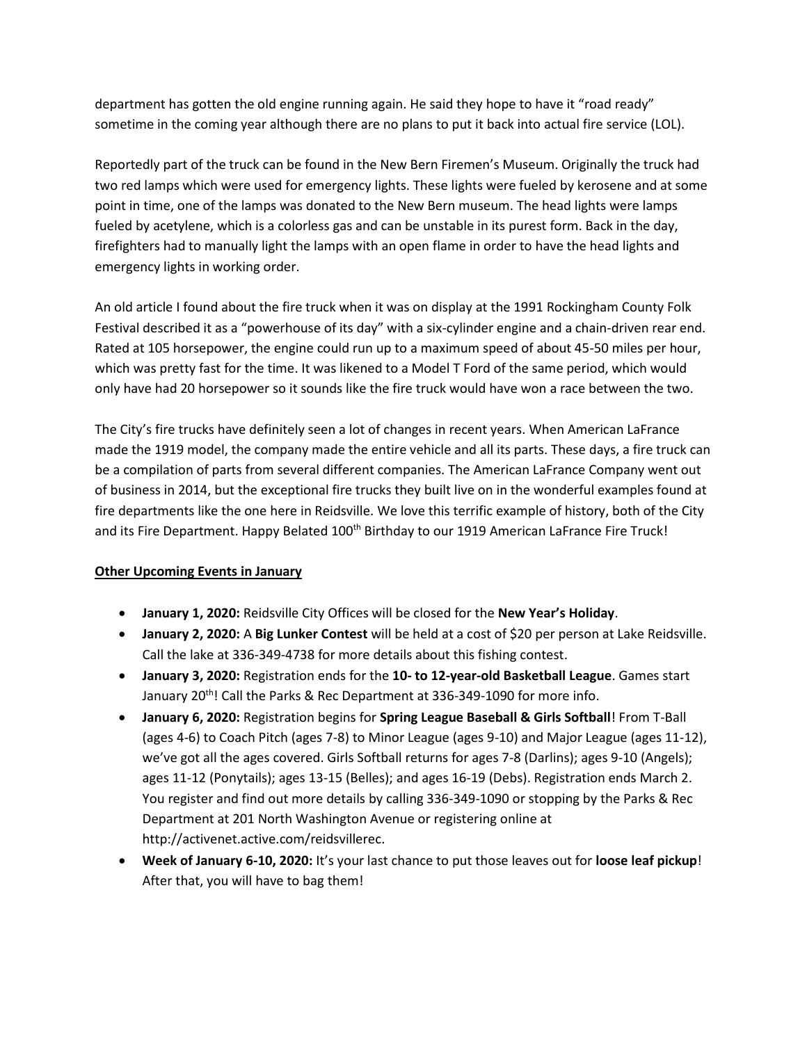department has gotten the old engine running again. He said they hope to have it "road ready" sometime in the coming year although there are no plans to put it back into actual fire service (LOL).

Reportedly part of the truck can be found in the New Bern Firemen's Museum. Originally the truck had two red lamps which were used for emergency lights. These lights were fueled by kerosene and at some point in time, one of the lamps was donated to the New Bern museum. The head lights were lamps fueled by acetylene, which is a colorless gas and can be unstable in its purest form. Back in the day, firefighters had to manually light the lamps with an open flame in order to have the head lights and emergency lights in working order.

An old article I found about the fire truck when it was on display at the 1991 Rockingham County Folk Festival described it as a "powerhouse of its day" with a six-cylinder engine and a chain-driven rear end. Rated at 105 horsepower, the engine could run up to a maximum speed of about 45-50 miles per hour, which was pretty fast for the time. It was likened to a Model T Ford of the same period, which would only have had 20 horsepower so it sounds like the fire truck would have won a race between the two.

The City's fire trucks have definitely seen a lot of changes in recent years. When American LaFrance made the 1919 model, the company made the entire vehicle and all its parts. These days, a fire truck can be a compilation of parts from several different companies. The American LaFrance Company went out of business in 2014, but the exceptional fire trucks they built live on in the wonderful examples found at fire departments like the one here in Reidsville. We love this terrific example of history, both of the City and its Fire Department. Happy Belated 100<sup>th</sup> Birthday to our 1919 American LaFrance Fire Truck!

## **Other Upcoming Events in January**

- **January 1, 2020:** Reidsville City Offices will be closed for the **New Year's Holiday**.
- **January 2, 2020:** A **Big Lunker Contest** will be held at a cost of \$20 per person at Lake Reidsville. Call the lake at 336-349-4738 for more details about this fishing contest.
- **January 3, 2020:** Registration ends for the **10- to 12-year-old Basketball League**. Games start January 20<sup>th</sup>! Call the Parks & Rec Department at 336-349-1090 for more info.
- **January 6, 2020:** Registration begins for **Spring League Baseball & Girls Softball**! From T-Ball (ages 4-6) to Coach Pitch (ages 7-8) to Minor League (ages 9-10) and Major League (ages 11-12), we've got all the ages covered. Girls Softball returns for ages 7-8 (Darlins); ages 9-10 (Angels); ages 11-12 (Ponytails); ages 13-15 (Belles); and ages 16-19 (Debs). Registration ends March 2. You register and find out more details by calling 336-349-1090 or stopping by the Parks & Rec Department at 201 North Washington Avenue or registering online at http://activenet.active.com/reidsvillerec.
- **Week of January 6-10, 2020:** It's your last chance to put those leaves out for **loose leaf pickup**! After that, you will have to bag them!